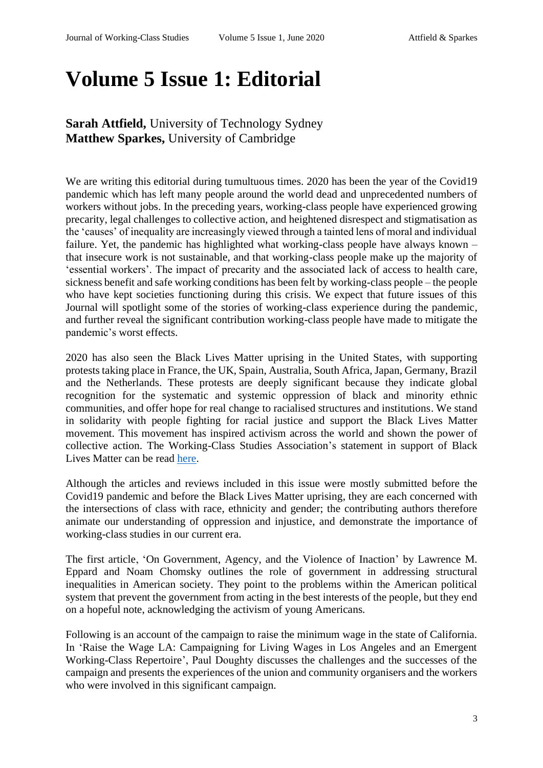## **Volume 5 Issue 1: Editorial**

## **Sarah Attfield,** University of Technology Sydney **Matthew Sparkes,** University of Cambridge

We are writing this editorial during tumultuous times. 2020 has been the year of the Covid19 pandemic which has left many people around the world dead and unprecedented numbers of workers without jobs. In the preceding years, working-class people have experienced growing precarity, legal challenges to collective action, and heightened disrespect and stigmatisation as the 'causes' of inequality are increasingly viewed through a tainted lens of moral and individual failure. Yet, the pandemic has highlighted what working-class people have always known – that insecure work is not sustainable, and that working-class people make up the majority of 'essential workers'. The impact of precarity and the associated lack of access to health care, sickness benefit and safe working conditions has been felt by working-class people – the people who have kept societies functioning during this crisis. We expect that future issues of this Journal will spotlight some of the stories of working-class experience during the pandemic, and further reveal the significant contribution working-class people have made to mitigate the pandemic's worst effects.

2020 has also seen the Black Lives Matter uprising in the United States, with supporting protests taking place in France, the UK, Spain, Australia, South Africa, Japan, Germany, Brazil and the Netherlands. These protests are deeply significant because they indicate global recognition for the systematic and systemic oppression of black and minority ethnic communities, and offer hope for real change to racialised structures and institutions. We stand in solidarity with people fighting for racial justice and support the Black Lives Matter movement. This movement has inspired activism across the world and shown the power of collective action. The Working-Class Studies Association's statement in support of Black Lives Matter can be read [here.](about:blank)

Although the articles and reviews included in this issue were mostly submitted before the Covid19 pandemic and before the Black Lives Matter uprising, they are each concerned with the intersections of class with race, ethnicity and gender; the contributing authors therefore animate our understanding of oppression and injustice, and demonstrate the importance of working-class studies in our current era.

The first article, 'On Government, Agency, and the Violence of Inaction' by Lawrence M. Eppard and Noam Chomsky outlines the role of government in addressing structural inequalities in American society. They point to the problems within the American political system that prevent the government from acting in the best interests of the people, but they end on a hopeful note, acknowledging the activism of young Americans.

Following is an account of the campaign to raise the minimum wage in the state of California. In 'Raise the Wage LA: Campaigning for Living Wages in Los Angeles and an Emergent Working-Class Repertoire', Paul Doughty discusses the challenges and the successes of the campaign and presents the experiences of the union and community organisers and the workers who were involved in this significant campaign.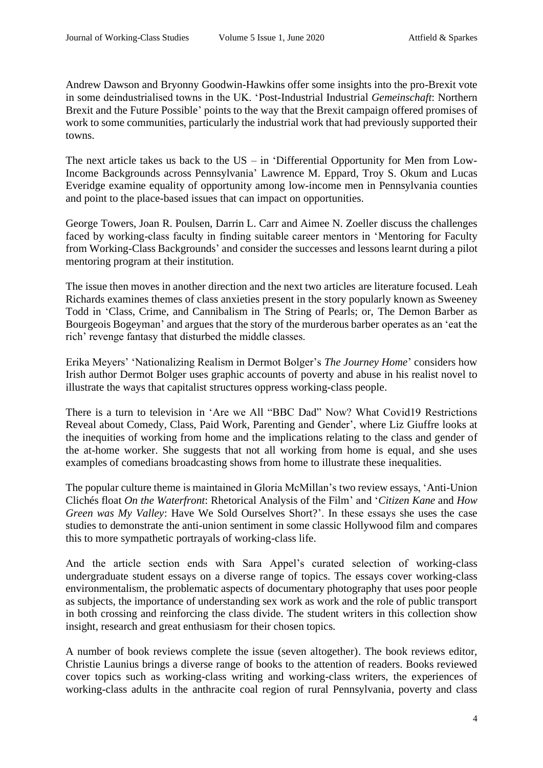Andrew Dawson and Bryonny Goodwin-Hawkins offer some insights into the pro-Brexit vote in some deindustrialised towns in the UK. 'Post-Industrial Industrial *Gemeinschaft*: Northern Brexit and the Future Possible' points to the way that the Brexit campaign offered promises of work to some communities, particularly the industrial work that had previously supported their towns.

The next article takes us back to the  $US - in$  'Differential Opportunity for Men from Low-Income Backgrounds across Pennsylvania' Lawrence M. Eppard, Troy S. Okum and Lucas Everidge examine equality of opportunity among low-income men in Pennsylvania counties and point to the place-based issues that can impact on opportunities.

George Towers, Joan R. Poulsen, Darrin L. Carr and Aimee N. Zoeller discuss the challenges faced by working-class faculty in finding suitable career mentors in 'Mentoring for Faculty from Working-Class Backgrounds' and consider the successes and lessons learnt during a pilot mentoring program at their institution.

The issue then moves in another direction and the next two articles are literature focused. Leah Richards examines themes of class anxieties present in the story popularly known as Sweeney Todd in 'Class, Crime, and Cannibalism in The String of Pearls; or, The Demon Barber as Bourgeois Bogeyman' and argues that the story of the murderous barber operates as an 'eat the rich' revenge fantasy that disturbed the middle classes.

Erika Meyers' 'Nationalizing Realism in Dermot Bolger's *The Journey Home*' considers how Irish author Dermot Bolger uses graphic accounts of poverty and abuse in his realist novel to illustrate the ways that capitalist structures oppress working-class people.

There is a turn to television in 'Are we All "BBC Dad" Now? What Covid19 Restrictions Reveal about Comedy, Class, Paid Work, Parenting and Gender', where Liz Giuffre looks at the inequities of working from home and the implications relating to the class and gender of the at-home worker. She suggests that not all working from home is equal, and she uses examples of comedians broadcasting shows from home to illustrate these inequalities.

The popular culture theme is maintained in Gloria McMillan's two review essays, 'Anti-Union Clichés float *On the Waterfront*: Rhetorical Analysis of the Film' and '*Citizen Kane* and *How Green was My Valley*: Have We Sold Ourselves Short?'. In these essays she uses the case studies to demonstrate the anti-union sentiment in some classic Hollywood film and compares this to more sympathetic portrayals of working-class life.

And the article section ends with Sara Appel's curated selection of working-class undergraduate student essays on a diverse range of topics. The essays cover working-class environmentalism, the problematic aspects of documentary photography that uses poor people as subjects, the importance of understanding sex work as work and the role of public transport in both crossing and reinforcing the class divide. The student writers in this collection show insight, research and great enthusiasm for their chosen topics.

A number of book reviews complete the issue (seven altogether). The book reviews editor, Christie Launius brings a diverse range of books to the attention of readers. Books reviewed cover topics such as working-class writing and working-class writers, the experiences of working-class adults in the anthracite coal region of rural Pennsylvania, poverty and class